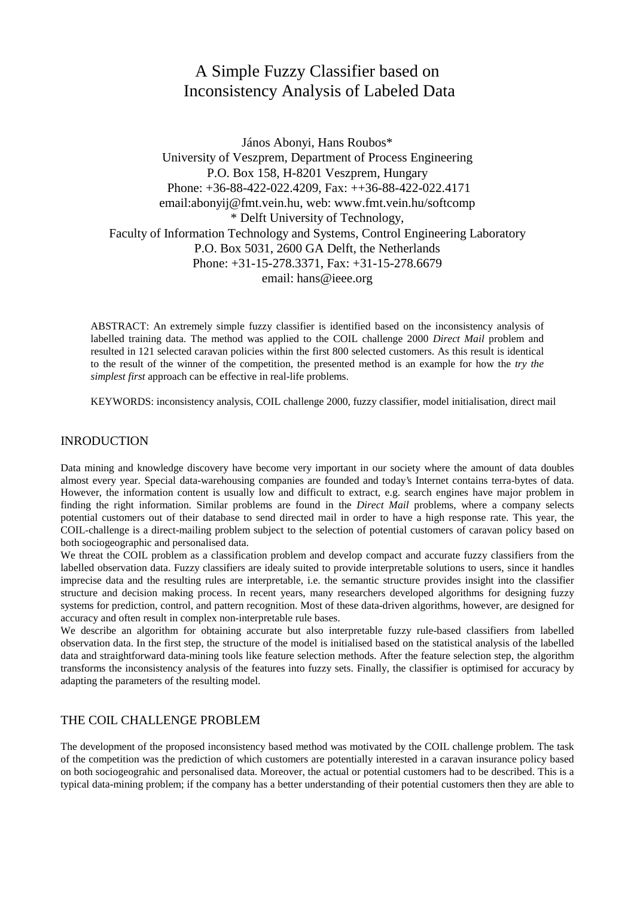# A Simple Fuzzy Classifier based on Inconsistency Analysis of Labeled Data

János Abonyi, Hans Roubos\* University of Veszprem, Department of Process Engineering P.O. Box 158, H-8201 Veszprem, Hungary Phone: +36-88-422-022.4209, Fax: ++36-88-422-022.4171 email:abonyij@fmt.vein.hu, web: www.fmt.vein.hu/softcomp \* Delft University of Technology, Faculty of Information Technology and Systems, Control Engineering Laboratory P.O. Box 5031, 2600 GA Delft, the Netherlands Phone: +31-15-278.3371, Fax: +31-15-278.6679 email: hans@ieee.org

ABSTRACT: An extremely simple fuzzy classifier is identified based on the inconsistency analysis of labelled training data. The method was applied to the COIL challenge 2000 *Direct Mail* problem and resulted in 121 selected caravan policies within the first 800 selected customers. As this result is identical to the result of the winner of the competition, the presented method is an example for how the *try the simplest first* approach can be effective in real-life problems.

KEYWORDS: inconsistency analysis, COIL challenge 2000, fuzzy classifier, model initialisation, direct mail

# INRODUCTION

Data mining and knowledge discovery have become very important in our society where the amount of data doubles almost every year. Special data-warehousing companies are founded and today's Internet contains terra-bytes of data. However, the information content is usually low and difficult to extract, e.g. search engines have major problem in finding the right information. Similar problems are found in the *Direct Mail* problems, where a company selects potential customers out of their database to send directed mail in order to have a high response rate. This year, the COIL-challenge is a direct-mailing problem subject to the selection of potential customers of caravan policy based on both sociogeographic and personalised data.

We threat the COIL problem as a classification problem and develop compact and accurate fuzzy classifiers from the labelled observation data. Fuzzy classifiers are idealy suited to provide interpretable solutions to users, since it handles imprecise data and the resulting rules are interpretable, i.e. the semantic structure provides insight into the classifier structure and decision making process. In recent years, many researchers developed algorithms for designing fuzzy systems for prediction, control, and pattern recognition. Most of these data-driven algorithms, however, are designed for accuracy and often result in complex non-interpretable rule bases.

We describe an algorithm for obtaining accurate but also interpretable fuzzy rule-based classifiers from labelled observation data. In the first step, the structure of the model is initialised based on the statistical analysis of the labelled data and straightforward data-mining tools like feature selection methods. After the feature selection step, the algorithm transforms the inconsistency analysis of the features into fuzzy sets. Finally, the classifier is optimised for accuracy by adapting the parameters of the resulting model.

## THE COIL CHALLENGE PROBLEM

The development of the proposed inconsistency based method was motivated by the COIL challenge problem. The task of the competition was the prediction of which customers are potentially interested in a caravan insurance policy based on both sociogeograhic and personalised data. Moreover, the actual or potential customers had to be described. This is a typical data-mining problem; if the company has a better understanding of their potential customers then they are able to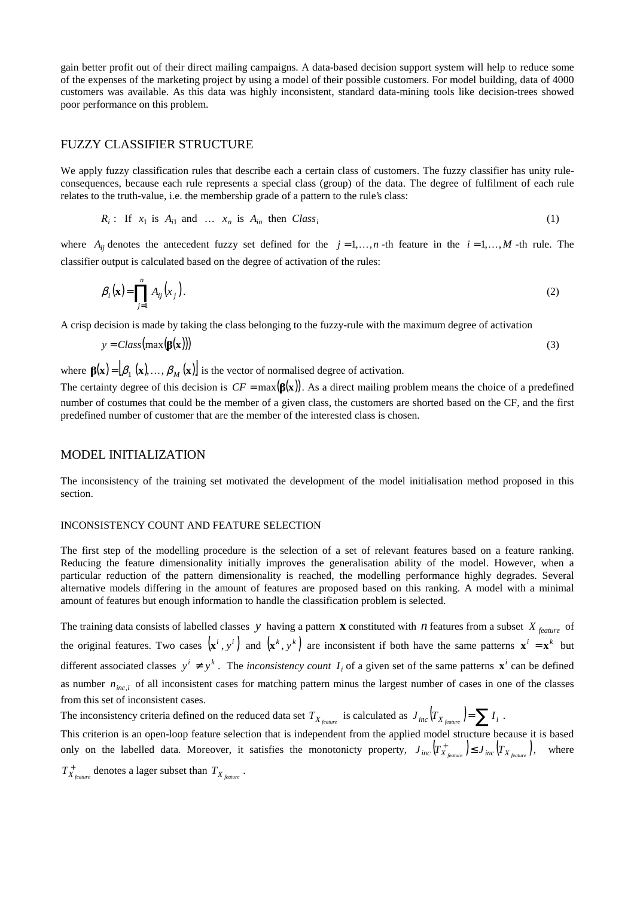gain better profit out of their direct mailing campaigns. A data-based decision support system will help to reduce some of the expenses of the marketing project by using a model of their possible customers. For model building, data of 4000 customers was available. As this data was highly inconsistent, standard data-mining tools like decision-trees showed poor performance on this problem.

## FUZZY CLASSIFIER STRUCTURE

We apply fuzzy classification rules that describe each a certain class of customers. The fuzzy classifier has unity ruleconsequences, because each rule represents a special class (group) of the data. The degree of fulfilment of each rule relates to the truth-value, i.e. the membership grade of a pattern to the rule's class:

$$
R_i: \text{ If } x_1 \text{ is } A_{i1} \text{ and } \dots x_n \text{ is } A_{in} \text{ then } Class_i
$$
 (1)

where  $A_{ij}$  denotes the antecedent fuzzy set defined for the  $j = 1, \ldots, n$  -th feature in the  $i = 1, \ldots, M$  -th rule. The classifier output is calculated based on the degree of activation of the rules:

$$
\beta_i(\mathbf{x}) = \prod_{j=1}^n A_{ij}(x_j).
$$
 (2)

A crisp decision is made by taking the class belonging to the fuzzy-rule with the maximum degree of activation

$$
y = Class(max(\beta(x)))\tag{3}
$$

where  $\mathbf{B}(\mathbf{x}) = [\beta_1(\mathbf{x}), ..., \beta_M(\mathbf{x})]$  is the vector of normalised degree of activation.

The certainty degree of this decision is  $CF = max(\beta(x))$ . As a direct mailing problem means the choice of a predefined number of costumes that could be the member of a given class, the customers are shorted based on the CF, and the first predefined number of customer that are the member of the interested class is chosen.

### MODEL INITIALIZATION

The inconsistency of the training set motivated the development of the model initialisation method proposed in this section.

#### INCONSISTENCY COUNT AND FEATURE SELECTION

The first step of the modelling procedure is the selection of a set of relevant features based on a feature ranking. Reducing the feature dimensionality initially improves the generalisation ability of the model. However, when a particular reduction of the pattern dimensionality is reached, the modelling performance highly degrades. Several alternative models differing in the amount of features are proposed based on this ranking. A model with a minimal amount of features but enough information to handle the classification problem is selected.

The training data consists of labelled classes *y* having a pattern **x** constituted with *n* features from a subset *X feature* of the original features. Two cases  $(x^i, y^i)$  and  $(x^k, y^k)$  are inconsistent if both have the same patterns  $x^i = x^k$  but different associated classes  $y^i \neq y^k$ . The *inconsistency count*  $I_i$  of a given set of the same patterns  $\mathbf{x}^i$  can be defined as number  $n_{inc,i}$  of all inconsistent cases for matching pattern minus the largest number of cases in one of the classes from this set of inconsistent cases.

The inconsistency criteria defined on the reduced data set  $T_X$  is calculated as  $J_{inc}(T_{X_{c}}) = \sum I_i$ .

This criterion is an open-loop feature selection that is independent from the applied model structure because it is based only on the labelled data. Moreover, it satisfies the monotonicty property,  $J_{inc}\left(T_{X_{feature}}^+\right) \leq J_{inc}\left(T_{X_{feature}}^+\right)$ , where

 $T_{X_{feature}}^+$  denotes a lager subset than  $T_{X_{feature}}$ .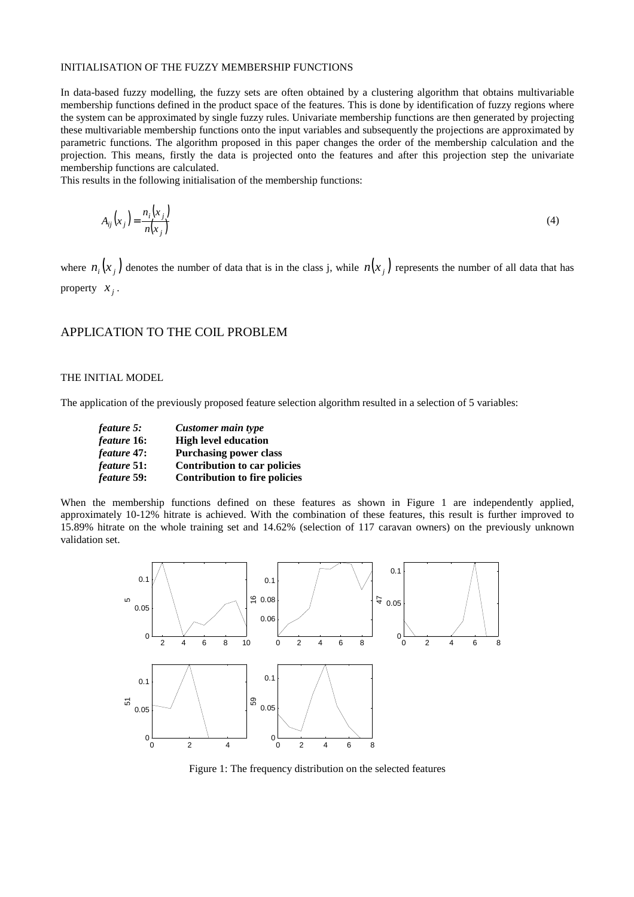#### INITIALISATION OF THE FUZZY MEMBERSHIP FUNCTIONS

In data-based fuzzy modelling, the fuzzy sets are often obtained by a clustering algorithm that obtains multivariable membership functions defined in the product space of the features. This is done by identification of fuzzy regions where the system can be approximated by single fuzzy rules. Univariate membership functions are then generated by projecting these multivariable membership functions onto the input variables and subsequently the projections are approximated by parametric functions. The algorithm proposed in this paper changes the order of the membership calculation and the projection. This means, firstly the data is projected onto the features and after this projection step the univariate membership functions are calculated.

This results in the following initialisation of the membership functions:

$$
A_{ij}\left(x_j\right) = \frac{n_i\left(x_j\right)}{n\left(x_j\right)}\tag{4}
$$

where  $n_i(x_i)$  denotes the number of data that is in the class j, while  $n(x_i)$  represents the number of all data that has property  $x_i$ .

#### APPLICATION TO THE COIL PROBLEM

#### THE INITIAL MODEL

The application of the previously proposed feature selection algorithm resulted in a selection of 5 variables:

| feature 5:         | Customer main type                   |  |  |
|--------------------|--------------------------------------|--|--|
| feature 16:        | <b>High level education</b>          |  |  |
| feature 47:        | <b>Purchasing power class</b>        |  |  |
| <i>feature</i> 51: | Contribution to car policies         |  |  |
| feature 59:        | <b>Contribution to fire policies</b> |  |  |

When the membership functions defined on these features as shown in Figure 1 are independently applied, approximately 10-12% hitrate is achieved. With the combination of these features, this result is further improved to 15.89% hitrate on the whole training set and 14.62% (selection of 117 caravan owners) on the previously unknown validation set.



Figure 1: The frequency distribution on the selected features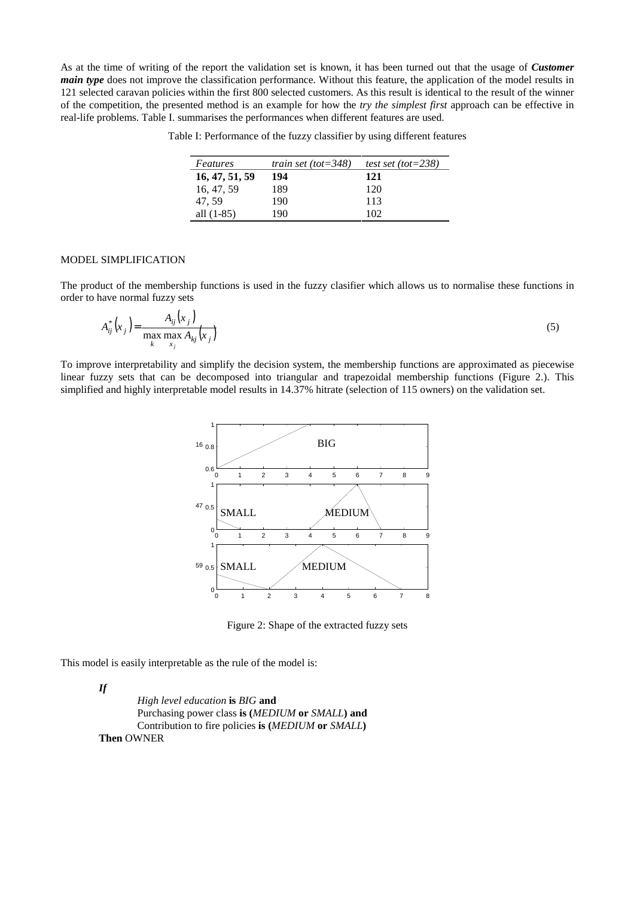As at the time of writing of the report the validation set is known, it has been turned out that the usage of *Customer main type* does not improve the classification performance. Without this feature, the application of the model results in 121 selected caravan policies within the first 800 selected customers. As this result is identical to the result of the winner of the competition, the presented method is an example for how the *try the simplest first* approach can be effective in real-life problems. Table I. summarises the performances when different features are used.

|  | Table I: Performance of the fuzzy classifier by using different features |  |  |  |  |  |
|--|--------------------------------------------------------------------------|--|--|--|--|--|
|--|--------------------------------------------------------------------------|--|--|--|--|--|

| Features       | train set (tot= $348$ ) | test set (tot= $238$ ) |
|----------------|-------------------------|------------------------|
| 16, 47, 51, 59 | 194                     | 121                    |
| 16, 47, 59     | 189                     | 120                    |
| 47.59          | 190                     | 113                    |
| all $(1-85)$   | 190                     | 102                    |

#### MODEL SIMPLIFICATION

The product of the membership functions is used in the fuzzy clasifier which allows us to normalise these functions in order to have normal fuzzy sets

$$
A_{ij}^*(x_j) = \frac{A_{ij}(x_j)}{\max_{k} \max_{x_j} A_{kj}(x_j)}
$$
(5)

To improve interpretability and simplify the decision system, the membership functions are approximated as piecewise linear fuzzy sets that can be decomposed into triangular and trapezoidal membership functions (Figure 2.). This simplified and highly interpretable model results in 14.37% hitrate (selection of 115 owners) on the validation set.



Figure 2: Shape of the extracted fuzzy sets

This model is easily interpretable as the rule of the model is:

*If*

*High level education* **is** *BIG* **and** Purchasing power class **is (***MEDIUM* **or** *SMALL***) and** Contribution to fire policies **is (***MEDIUM* **or** *SMALL***) Then** OWNER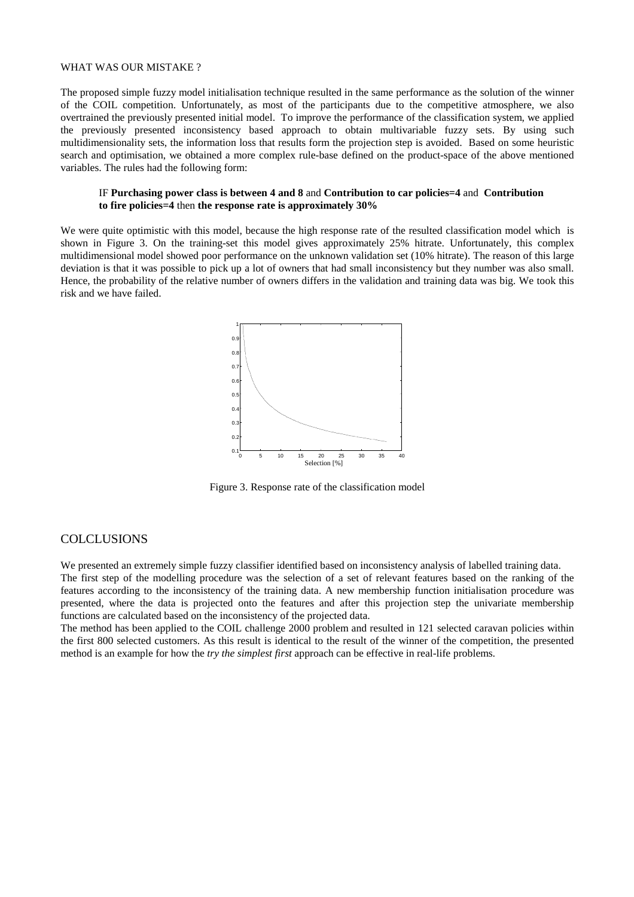#### WHAT WAS OUR MISTAKE?

The proposed simple fuzzy model initialisation technique resulted in the same performance as the solution of the winner of the COIL competition. Unfortunately, as most of the participants due to the competitive atmosphere, we also overtrained the previously presented initial model. To improve the performance of the classification system, we applied the previously presented inconsistency based approach to obtain multivariable fuzzy sets. By using such multidimensionality sets, the information loss that results form the projection step is avoided. Based on some heuristic search and optimisation, we obtained a more complex rule-base defined on the product-space of the above mentioned variables. The rules had the following form:

#### IF **Purchasing power class is between 4 and 8** and **Contribution to car policies=4** and **Contribution to fire policies=4** then **the response rate is approximately 30%**

We were quite optimistic with this model, because the high response rate of the resulted classification model which is shown in Figure 3. On the training-set this model gives approximately 25% hitrate. Unfortunately, this complex multidimensional model showed poor performance on the unknown validation set (10% hitrate). The reason of this large deviation is that it was possible to pick up a lot of owners that had small inconsistency but they number was also small. Hence, the probability of the relative number of owners differs in the validation and training data was big. We took this risk and we have failed.



Figure 3. Response rate of the classification model

## **COLCLUSIONS**

We presented an extremely simple fuzzy classifier identified based on inconsistency analysis of labelled training data.

The first step of the modelling procedure was the selection of a set of relevant features based on the ranking of the features according to the inconsistency of the training data. A new membership function initialisation procedure was presented, where the data is projected onto the features and after this projection step the univariate membership functions are calculated based on the inconsistency of the projected data.

The method has been applied to the COIL challenge 2000 problem and resulted in 121 selected caravan policies within the first 800 selected customers. As this result is identical to the result of the winner of the competition, the presented method is an example for how the *try the simplest first* approach can be effective in real-life problems.